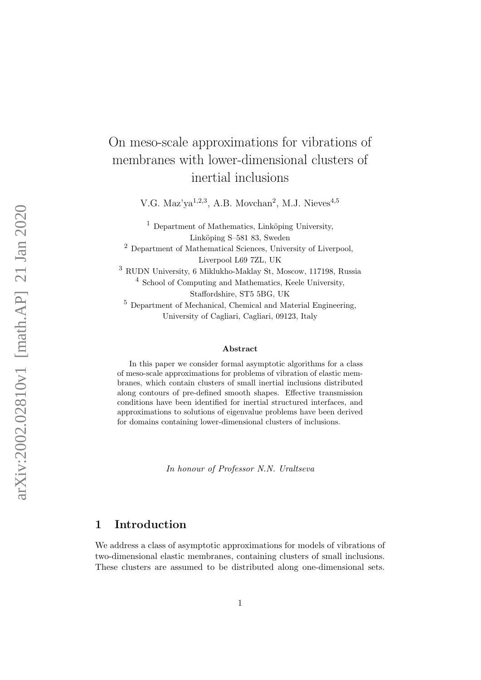# On meso-scale approximations for vibrations of membranes with lower-dimensional clusters of inertial inclusions

V.G. Maz'ya<sup>1,2,3</sup>, A.B. Movchan<sup>2</sup>, M.J. Nieves<sup>4,5</sup>

 $<sup>1</sup>$  Department of Mathematics, Linköping University,</sup> Linköping S–581 83, Sweden

<sup>2</sup> Department of Mathematical Sciences, University of Liverpool, Liverpool L69 7ZL, UK

<sup>3</sup> RUDN University, 6 Miklukho-Maklay St, Moscow, 117198, Russia 4 School of Computing and Mathematics, Keele University, Staffordshire, ST5 5BG, UK

<sup>5</sup> Department of Mechanical, Chemical and Material Engineering, University of Cagliari, Cagliari, 09123, Italy

#### Abstract

In this paper we consider formal asymptotic algorithms for a class of meso-scale approximations for problems of vibration of elastic membranes, which contain clusters of small inertial inclusions distributed along contours of pre-defined smooth shapes. Effective transmission conditions have been identified for inertial structured interfaces, and approximations to solutions of eigenvalue problems have been derived for domains containing lower-dimensional clusters of inclusions.

In honour of Professor N.N. Uraltseva

# 1 Introduction

We address a class of asymptotic approximations for models of vibrations of two-dimensional elastic membranes, containing clusters of small inclusions. These clusters are assumed to be distributed along one-dimensional sets.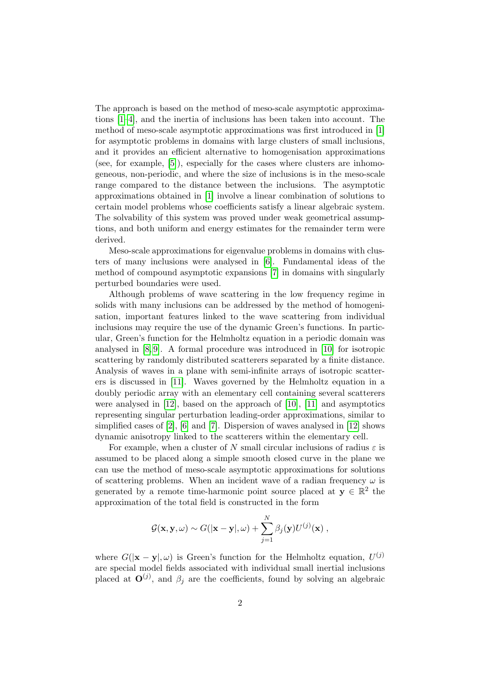The approach is based on the method of meso-scale asymptotic approximations [\[1](#page-17-0)[–4\]](#page-18-0), and the inertia of inclusions has been taken into account. The method of meso-scale asymptotic approximations was first introduced in [\[1\]](#page-17-0) for asymptotic problems in domains with large clusters of small inclusions, and it provides an efficient alternative to homogenisation approximations (see, for example, [\[5\]](#page-18-1)), especially for the cases where clusters are inhomogeneous, non-periodic, and where the size of inclusions is in the meso-scale range compared to the distance between the inclusions. The asymptotic approximations obtained in [\[1\]](#page-17-0) involve a linear combination of solutions to certain model problems whose coefficients satisfy a linear algebraic system. The solvability of this system was proved under weak geometrical assumptions, and both uniform and energy estimates for the remainder term were derived.

Meso-scale approximations for eigenvalue problems in domains with clusters of many inclusions were analysed in [\[6\]](#page-18-2). Fundamental ideas of the method of compound asymptotic expansions [\[7\]](#page-18-3) in domains with singularly perturbed boundaries were used.

Although problems of wave scattering in the low frequency regime in solids with many inclusions can be addressed by the method of homogenisation, important features linked to the wave scattering from individual inclusions may require the use of the dynamic Green's functions. In particular, Green's function for the Helmholtz equation in a periodic domain was analysed in [\[8,](#page-18-4) [9\]](#page-18-5). A formal procedure was introduced in [\[10\]](#page-18-6) for isotropic scattering by randomly distributed scatterers separated by a finite distance. Analysis of waves in a plane with semi-infinite arrays of isotropic scatterers is discussed in [\[11\]](#page-18-7). Waves governed by the Helmholtz equation in a doubly periodic array with an elementary cell containing several scatterers were analysed in [\[12\]](#page-18-8), based on the approach of [\[10\]](#page-18-6), [\[11\]](#page-18-7) and asymptotics representing singular perturbation leading-order approximations, similar to simplified cases of  $[2]$ ,  $[6]$  and  $[7]$ . Dispersion of waves analysed in  $[12]$  shows dynamic anisotropy linked to the scatterers within the elementary cell.

For example, when a cluster of N small circular inclusions of radius  $\varepsilon$  is assumed to be placed along a simple smooth closed curve in the plane we can use the method of meso-scale asymptotic approximations for solutions of scattering problems. When an incident wave of a radian frequency  $\omega$  is generated by a remote time-harmonic point source placed at  $y \in \mathbb{R}^2$  the approximation of the total field is constructed in the form

$$
\mathcal{G}(\mathbf{x}, \mathbf{y}, \omega) \sim G(|\mathbf{x} - \mathbf{y}|, \omega) + \sum_{j=1}^N \beta_j(\mathbf{y}) U^{(j)}(\mathbf{x}),
$$

where  $G(|\mathbf{x}-\mathbf{y}|,\omega)$  is Green's function for the Helmholtz equation,  $U^{(j)}$ are special model fields associated with individual small inertial inclusions placed at  $\mathbf{O}^{(j)}$ , and  $\beta_j$  are the coefficients, found by solving an algebraic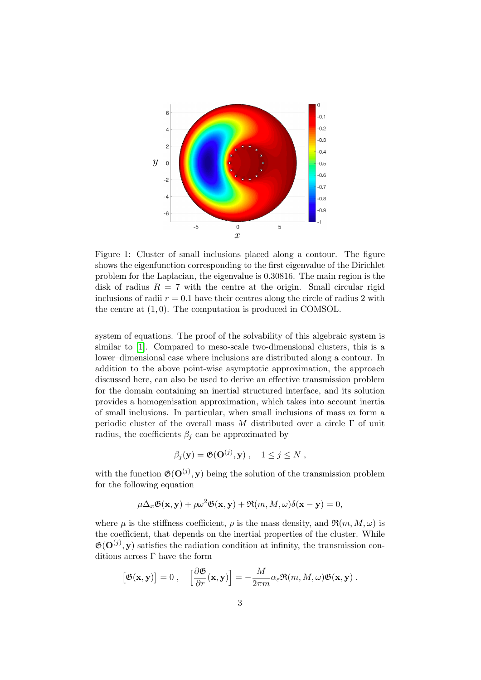

<span id="page-2-0"></span>Figure 1: Cluster of small inclusions placed along a contour. The figure shows the eigenfunction corresponding to the first eigenvalue of the Dirichlet problem for the Laplacian, the eigenvalue is 0.30816. The main region is the disk of radius  $R = 7$  with the centre at the origin. Small circular rigid inclusions of radii  $r = 0.1$  have their centres along the circle of radius 2 with the centre at (1, 0). The computation is produced in COMSOL.

system of equations. The proof of the solvability of this algebraic system is similar to [\[1\]](#page-17-0). Compared to meso-scale two-dimensional clusters, this is a lower–dimensional case where inclusions are distributed along a contour. In addition to the above point-wise asymptotic approximation, the approach discussed here, can also be used to derive an effective transmission problem for the domain containing an inertial structured interface, and its solution provides a homogenisation approximation, which takes into account inertia of small inclusions. In particular, when small inclusions of mass  $m$  form a periodic cluster of the overall mass M distributed over a circle  $\Gamma$  of unit radius, the coefficients  $\beta_j$  can be approximated by

$$
\beta_j(\mathbf{y}) = \mathfrak{G}(\mathbf{O}^{(j)}, \mathbf{y}), \quad 1 \le j \le N,
$$

with the function  $\mathfrak{G}(\mathbf{O}^{(j)}, \mathbf{y})$  being the solution of the transmission problem for the following equation

$$
\mu \Delta_x \mathfrak{G}(\mathbf{x}, \mathbf{y}) + \rho \omega^2 \mathfrak{G}(\mathbf{x}, \mathbf{y}) + \Re(m, M, \omega) \delta(\mathbf{x} - \mathbf{y}) = 0,
$$

where  $\mu$  is the stiffness coefficient,  $\rho$  is the mass density, and  $\mathfrak{R}(m, M, \omega)$  is the coefficient, that depends on the inertial properties of the cluster. While  $\mathfrak{G}(\mathbf{O}^{(j)}, \mathbf{y})$  satisfies the radiation condition at infinity, the transmission conditions across Γ have the form

$$
\left[\mathfrak{G}(\mathbf{x},\mathbf{y})\right]=0\;,\quad \left[\frac{\partial\mathfrak{G}}{\partial r}(\mathbf{x},\mathbf{y})\right]=-\frac{M}{2\pi m}\alpha_\varepsilon\Re(m,M,\omega)\mathfrak{G}(\mathbf{x},\mathbf{y})\;.
$$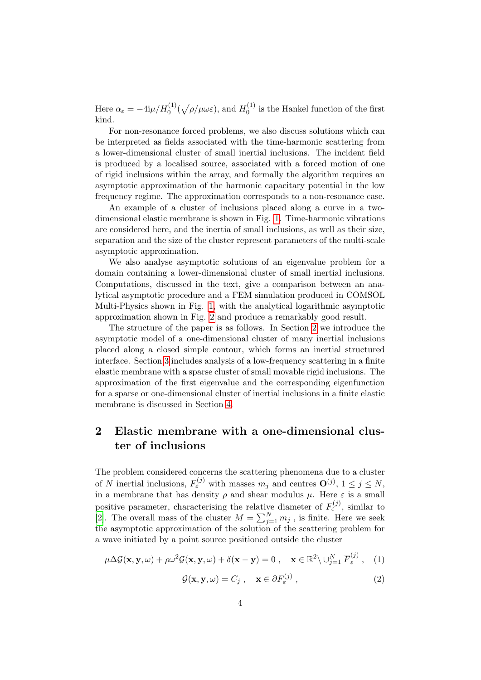Here  $\alpha_{\varepsilon} = -4i\mu/H_0^{(1)}(\sqrt{\rho/\mu}\omega\varepsilon)$ , and  $H_0^{(1)}$  $\int_0^{(1)}$  is the Hankel function of the first kind.

For non-resonance forced problems, we also discuss solutions which can be interpreted as fields associated with the time-harmonic scattering from a lower-dimensional cluster of small inertial inclusions. The incident field is produced by a localised source, associated with a forced motion of one of rigid inclusions within the array, and formally the algorithm requires an asymptotic approximation of the harmonic capacitary potential in the low frequency regime. The approximation corresponds to a non-resonance case.

An example of a cluster of inclusions placed along a curve in a twodimensional elastic membrane is shown in Fig. [1.](#page-2-0) Time-harmonic vibrations are considered here, and the inertia of small inclusions, as well as their size, separation and the size of the cluster represent parameters of the multi-scale asymptotic approximation.

We also analyse asymptotic solutions of an eigenvalue problem for a domain containing a lower-dimensional cluster of small inertial inclusions. Computations, discussed in the text, give a comparison between an analytical asymptotic procedure and a FEM simulation produced in COMSOL Multi-Physics shown in Fig. [1,](#page-2-0) with the analytical logarithmic asymptotic approximation shown in Fig. [2](#page-16-0) and produce a remarkably good result.

The structure of the paper is as follows. In Section [2](#page-3-0) we introduce the asymptotic model of a one-dimensional cluster of many inertial inclusions placed along a closed simple contour, which forms an inertial structured interface. Section [3](#page-9-0) includes analysis of a low-frequency scattering in a finite elastic membrane with a sparse cluster of small movable rigid inclusions. The approximation of the first eigenvalue and the corresponding eigenfunction for a sparse or one-dimensional cluster of inertial inclusions in a finite elastic membrane is discussed in Section [4.](#page-12-0)

# <span id="page-3-0"></span>2 Elastic membrane with a one-dimensional cluster of inclusions

The problem considered concerns the scattering phenomena due to a cluster of N inertial inclusions,  $F_{\varepsilon}^{(j)}$  with masses  $m_j$  and centres  $\mathbf{O}^{(j)}$ ,  $1 \leq j \leq N$ , in a membrane that has density  $\rho$  and shear modulus  $\mu$ . Here  $\varepsilon$  is a small positive parameter, characterising the relative diameter of  $F_{\varepsilon}^{(j)}$ , similar to [\[2\]](#page-17-1). The overall mass of the cluster  $M = \sum_{j=1}^{N} m_j$ , is finite. Here we seek the asymptotic approximation of the solution of the scattering problem for a wave initiated by a point source positioned outside the cluster

<span id="page-3-1"></span>
$$
\mu \Delta \mathcal{G}(\mathbf{x}, \mathbf{y}, \omega) + \rho \omega^2 \mathcal{G}(\mathbf{x}, \mathbf{y}, \omega) + \delta(\mathbf{x} - \mathbf{y}) = 0, \quad \mathbf{x} \in \mathbb{R}^2 \setminus \bigcup_{j=1}^N \overline{F}_{\varepsilon}^{(j)}, \quad (1)
$$

<span id="page-3-2"></span>
$$
\mathcal{G}(\mathbf{x}, \mathbf{y}, \omega) = C_j , \quad \mathbf{x} \in \partial F_{\varepsilon}^{(j)} , \qquad (2)
$$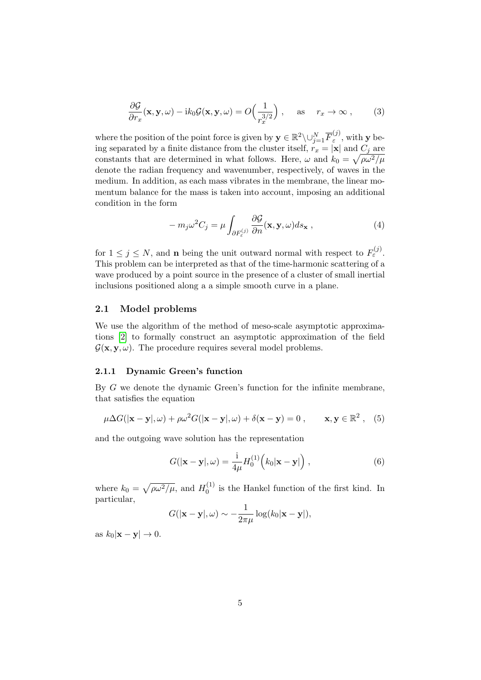$$
\frac{\partial \mathcal{G}}{\partial r_x}(\mathbf{x}, \mathbf{y}, \omega) - ik_0 \mathcal{G}(\mathbf{x}, \mathbf{y}, \omega) = O\left(\frac{1}{r_x^{3/2}}\right), \quad \text{as} \quad r_x \to \infty ,
$$
 (3)

where the position of the point force is given by  $\mathbf{y} \in \mathbb{R}^2 \setminus \cup_{j=1}^N \overline{F}_{\varepsilon}^{(j)}$  $\epsilon^{(U)}$ , with **y** being separated by a finite distance from the cluster itself,  $r_x = |\mathbf{x}|$  and  $C_j$  are constants that are determined in what follows. Here,  $\omega$  and  $k_0 = \sqrt{\rho \omega^2/\mu}$ denote the radian frequency and wavenumber, respectively, of waves in the medium. In addition, as each mass vibrates in the membrane, the linear momentum balance for the mass is taken into account, imposing an additional condition in the form

<span id="page-4-0"></span>
$$
-m_j\omega^2C_j = \mu \int_{\partial F_{\varepsilon}^{(j)}} \frac{\partial \mathcal{G}}{\partial n}(\mathbf{x}, \mathbf{y}, \omega) ds_{\mathbf{x}} , \qquad (4)
$$

for  $1 \leq j \leq N$ , and **n** being the unit outward normal with respect to  $F_{\varepsilon}^{(j)}$ . This problem can be interpreted as that of the time-harmonic scattering of a wave produced by a point source in the presence of a cluster of small inertial inclusions positioned along a a simple smooth curve in a plane.

### 2.1 Model problems

We use the algorithm of the method of meso-scale asymptotic approximations [\[2\]](#page-17-1) to formally construct an asymptotic approximation of the field  $\mathcal{G}(\mathbf{x}, \mathbf{y}, \omega)$ . The procedure requires several model problems.

#### 2.1.1 Dynamic Green's function

By G we denote the dynamic Green's function for the infinite membrane, that satisfies the equation

<span id="page-4-1"></span>
$$
\mu \Delta G(|\mathbf{x} - \mathbf{y}|, \omega) + \rho \omega^2 G(|\mathbf{x} - \mathbf{y}|, \omega) + \delta(\mathbf{x} - \mathbf{y}) = 0, \qquad \mathbf{x}, \mathbf{y} \in \mathbb{R}^2, \quad (5)
$$

and the outgoing wave solution has the representation

$$
G(|\mathbf{x} - \mathbf{y}|, \omega) = \frac{\mathrm{i}}{4\mu} H_0^{(1)}(k_0|\mathbf{x} - \mathbf{y}|), \qquad (6)
$$

where  $k_0 = \sqrt{\rho \omega^2 / \mu}$ , and  $H_0^{(1)}$  $_{0}^{(1)}$  is the Hankel function of the first kind. In particular,

$$
G(|\mathbf{x}-\mathbf{y}|,\omega) \sim -\frac{1}{2\pi\mu}\log(k_0|\mathbf{x}-\mathbf{y}|),
$$

as  $k_0|\mathbf{x}-\mathbf{y}|\to 0$ .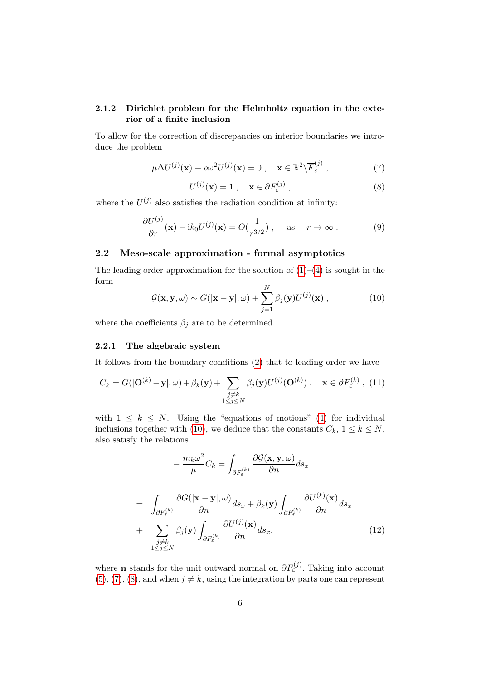### 2.1.2 Dirichlet problem for the Helmholtz equation in the exterior of a finite inclusion

To allow for the correction of discrepancies on interior boundaries we introduce the problem

<span id="page-5-1"></span>
$$
\mu \Delta U^{(j)}(\mathbf{x}) + \rho \omega^2 U^{(j)}(\mathbf{x}) = 0 , \quad \mathbf{x} \in \mathbb{R}^2 \backslash \overline{F}_{\varepsilon}^{(j)} , \tag{7}
$$

<span id="page-5-2"></span>
$$
U^{(j)}(\mathbf{x}) = 1 \,, \quad \mathbf{x} \in \partial F_{\varepsilon}^{(j)} \,, \tag{8}
$$

where the  $U^{(j)}$  also satisfies the radiation condition at infinity:

$$
\frac{\partial U^{(j)}}{\partial r}(\mathbf{x}) - ik_0 U^{(j)}(\mathbf{x}) = O(\frac{1}{r^{3/2}}), \quad \text{as} \quad r \to \infty.
$$
 (9)

### 2.2 Meso-scale approximation - formal asymptotics

The leading order approximation for the solution of  $(1)–(4)$  $(1)–(4)$  is sought in the form

<span id="page-5-0"></span>
$$
\mathcal{G}(\mathbf{x}, \mathbf{y}, \omega) \sim G(|\mathbf{x} - \mathbf{y}|, \omega) + \sum_{j=1}^{N} \beta_j(\mathbf{y}) U^{(j)}(\mathbf{x}), \qquad (10)
$$

where the coefficients  $\beta_j$  are to be determined.

### 2.2.1 The algebraic system

It follows from the boundary conditions [\(2\)](#page-3-2) that to leading order we have

<span id="page-5-4"></span>
$$
C_k = G(|\mathbf{O}^{(k)} - \mathbf{y}|, \omega) + \beta_k(\mathbf{y}) + \sum_{\substack{j \neq k \\ 1 \leq j \leq N}} \beta_j(\mathbf{y}) U^{(j)}(\mathbf{O}^{(k)}) , \quad \mathbf{x} \in \partial F_{\varepsilon}^{(k)} , \tag{11}
$$

with  $1 \leq k \leq N$ . Using the "equations of motions" [\(4\)](#page-4-0) for individual inclusions together with [\(10\)](#page-5-0), we deduce that the constants  $C_k$ ,  $1 \leq k \leq N$ , also satisfy the relations

<span id="page-5-3"></span>
$$
-\frac{m_k \omega^2}{\mu} C_k = \int_{\partial F_{\varepsilon}^{(k)}} \frac{\partial \mathcal{G}(\mathbf{x}, \mathbf{y}, \omega)}{\partial n} ds_x
$$

$$
= \int_{\partial F_{\varepsilon}^{(k)}} \frac{\partial G(|\mathbf{x} - \mathbf{y}|, \omega)}{\partial n} ds_x + \beta_k(\mathbf{y}) \int_{\partial F_{\varepsilon}^{(k)}} \frac{\partial U^{(k)}(\mathbf{x})}{\partial n} ds_x
$$

$$
+ \sum_{\substack{j \neq k \\ 1 \le j \le N}} \beta_j(\mathbf{y}) \int_{\partial F_{\varepsilon}^{(k)}} \frac{\partial U^{(j)}(\mathbf{x})}{\partial n} ds_x, \tag{12}
$$

where **n** stands for the unit outward normal on  $\partial F_{\varepsilon}^{(j)}$ . Taking into account  $(5), (7), (8),$  $(5), (7), (8),$  $(5), (7), (8),$  $(5), (7), (8),$  $(5), (7), (8),$  $(5), (7), (8),$  and when  $j \neq k$ , using the integration by parts one can represent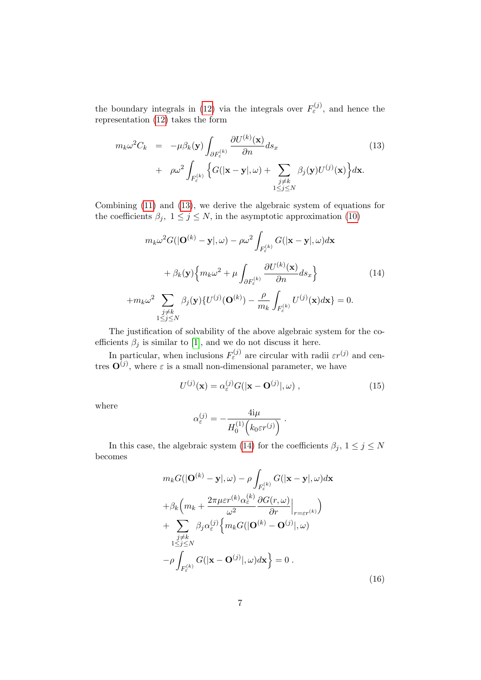the boundary integrals in [\(12\)](#page-5-3) via the integrals over  $F_{\varepsilon}^{(j)}$ , and hence the representation [\(12\)](#page-5-3) takes the form

<span id="page-6-0"></span>
$$
m_k \omega^2 C_k = -\mu \beta_k(\mathbf{y}) \int_{\partial F_{\varepsilon}^{(k)}} \frac{\partial U^{(k)}(\mathbf{x})}{\partial n} ds_x
$$
  
+  $\rho \omega^2 \int_{F_{\varepsilon}^{(k)}} \left\{ G(|\mathbf{x} - \mathbf{y}|, \omega) + \sum_{\substack{j \neq k \\ 1 \le j \le N}} \beta_j(\mathbf{y}) U^{(j)}(\mathbf{x}) \right\} d\mathbf{x}.$  (13)

Combining [\(11\)](#page-5-4) and [\(13\)](#page-6-0), we derive the algebraic system of equations for the coefficients  $\beta_j$ ,  $1 \leq j \leq N$ , in the asymptotic approximation [\(10\)](#page-5-0)

<span id="page-6-1"></span>
$$
m_k \omega^2 G(|\mathbf{O}^{(k)} - \mathbf{y}|, \omega) - \rho \omega^2 \int_{F_{\varepsilon}^{(k)}} G(|\mathbf{x} - \mathbf{y}|, \omega) d\mathbf{x}
$$
  
+  $\beta_k(\mathbf{y}) \Big\{ m_k \omega^2 + \mu \int_{\partial F_{\varepsilon}^{(k)}} \frac{\partial U^{(k)}(\mathbf{x})}{\partial n} d s_x \Big\}$  (14)  
+ $m_k \omega^2 \sum_{\substack{j \neq k \\ 1 \le j \le N}} \beta_j(\mathbf{y}) \{ U^{(j)}(\mathbf{O}^{(k)}) - \frac{\rho}{m_k} \int_{F_{\varepsilon}^{(k)}} U^{(j)}(\mathbf{x}) d \mathbf{x} \} = 0.$ 

The justification of solvability of the above algebraic system for the coefficients  $\beta_j$  is similar to [\[1\]](#page-17-0), and we do not discuss it here.

In particular, when inclusions  $F_{\varepsilon}^{(j)}$  are circular with radii  $\varepsilon r^{(j)}$  and centres  $\mathbf{O}^{(j)}$ , where  $\varepsilon$  is a small non-dimensional parameter, we have

$$
U^{(j)}(\mathbf{x}) = \alpha_{\varepsilon}^{(j)} G(|\mathbf{x} - \mathbf{O}^{(j)}|, \omega) , \qquad (15)
$$

where

$$
\alpha_{\varepsilon}^{(j)} = -\frac{4i\mu}{H_0^{(1)}\left(k_0\varepsilon r^{(j)}\right)}.
$$

In this case, the algebraic system [\(14\)](#page-6-1) for the coefficients  $\beta_j, \ 1 \leq j \leq N$ becomes

<span id="page-6-2"></span>
$$
m_k G(|\mathbf{O}^{(k)} - \mathbf{y}|, \omega) - \rho \int_{F_{\varepsilon}^{(k)}} G(|\mathbf{x} - \mathbf{y}|, \omega) d\mathbf{x}
$$
  
+  $\beta_k \left( m_k + \frac{2\pi \mu \varepsilon r^{(k)} \alpha_{\varepsilon}^{(k)}}{\omega^2} \frac{\partial G(r, \omega)}{\partial r} \Big|_{r = \varepsilon r^{(k)}} \right)$   
+  $\sum_{\substack{j \neq k \\ 1 \leq j \leq N}} \beta_j \alpha_{\varepsilon}^{(j)} \left\{ m_k G(|\mathbf{O}^{(k)} - \mathbf{O}^{(j)}|, \omega) \right\}$   
-  $\rho \int_{F_{\varepsilon}^{(k)}} G(|\mathbf{x} - \mathbf{O}^{(j)}|, \omega) d\mathbf{x} \right\} = 0.$  (16)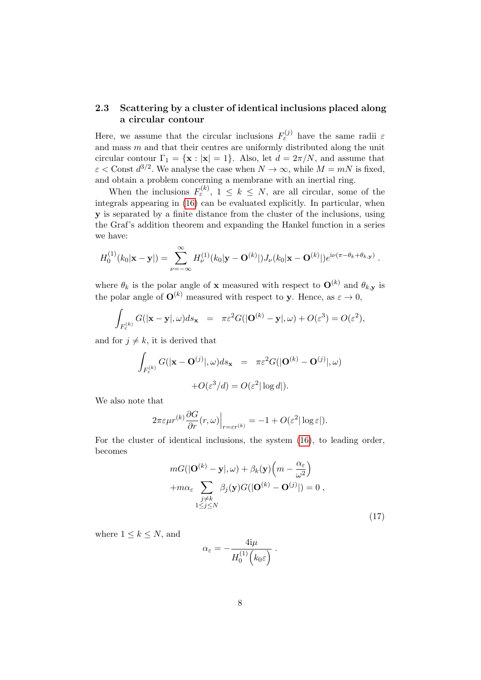### 2.3 Scattering by a cluster of identical inclusions placed along a circular contour

Here, we assume that the circular inclusions  $F_{\varepsilon}^{(j)}$  have the same radii  $\varepsilon$ and mass  $m$  and that their centres are uniformly distributed along the unit circular contour  $\Gamma_1 = {\mathbf{x} : |\mathbf{x}| = 1}.$  Also, let  $d = 2\pi/N$ , and assume that  $\varepsilon$  < Const  $d^{3/2}$ . We analyse the case when  $N \to \infty$ , while  $M = mN$  is fixed, and obtain a problem concerning a membrane with an inertial ring.

When the inclusions  $F_{\varepsilon}^{(k)}$ ,  $1 \leq k \leq N$ , are all circular, some of the integrals appearing in [\(16\)](#page-6-2) can be evaluated explicitly. In particular, when y is separated by a finite distance from the cluster of the inclusions, using the Graf's addition theorem and expanding the Hankel function in a series we have:

$$
H_0^{(1)}(k_0|\mathbf{x}-\mathbf{y}|) = \sum_{\nu=-\infty}^{\infty} H_{\nu}^{(1)}(k_0|\mathbf{y}-\mathbf{O}^{(k)}|)J_{\nu}(k_0|\mathbf{x}-\mathbf{O}^{(k)}|)e^{i\nu(\pi-\theta_k+\theta_{k,\mathbf{y}})}.
$$

where  $\theta_k$  is the polar angle of **x** measured with respect to  $\mathbf{O}^{(k)}$  and  $\theta_{k,y}$  is the polar angle of  $\mathbf{O}^{(k)}$  measured with respect to **v**. Hence, as  $\varepsilon \to 0$ ,

$$
\int_{F_{\varepsilon}^{(k)}} G(|\mathbf{x}-\mathbf{y}|, \omega) ds_{\mathbf{x}} = \pi \varepsilon^2 G(|\mathbf{O}^{(k)} - \mathbf{y}|, \omega) + O(\varepsilon^3) = O(\varepsilon^2),
$$

and for  $j \neq k$ , it is derived that

$$
\int_{F_{\varepsilon}^{(k)}} G(|\mathbf{x} - \mathbf{O}^{(j)}|, \omega) ds_{\mathbf{x}} = \pi \varepsilon^2 G(|\mathbf{O}^{(k)} - \mathbf{O}^{(j)}|, \omega)
$$

$$
+ O(\varepsilon^3/d) = O(\varepsilon^2 |\log d|).
$$

We also note that

$$
2\pi\varepsilon\mu r^{(k)}\frac{\partial G}{\partial r}(r,\omega)\Big|_{r=\varepsilon r^{(k)}}=-1+O(\varepsilon^2|\log\varepsilon|).
$$

For the cluster of identical inclusions, the system [\(16\)](#page-6-2), to leading order, becomes

<span id="page-7-0"></span>
$$
mG(|\mathbf{O}^{(k)} - \mathbf{y}|, \omega) + \beta_k(\mathbf{y}) \left( m - \frac{\alpha_{\varepsilon}}{\omega^2} \right)
$$
  
+
$$
m\alpha_{\varepsilon} \sum_{\substack{j \neq k \\ 1 \leq j \leq N}} \beta_j(\mathbf{y}) G(|\mathbf{O}^{(k)} - \mathbf{O}^{(j)}|) = 0,
$$
 (17)

where  $1 \leq k \leq N$ , and

$$
\alpha_{\varepsilon} = -\frac{4i\mu}{H_0^{(1)}\left(k_0\varepsilon\right)}.
$$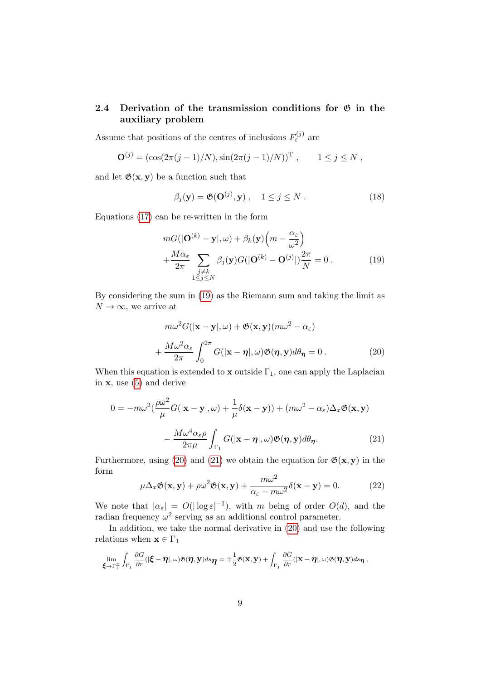### 2.4 Derivation of the transmission conditions for  $\mathfrak G$  in the auxiliary problem

Assume that positions of the centres of inclusions  $F_{\varepsilon}^{(j)}$  are

$$
\mathbf{O}^{(j)} = (\cos(2\pi(j-1)/N), \sin(2\pi(j-1)/N))^{\mathrm{T}}, \qquad 1 \le j \le N,
$$

and let  $\mathfrak{G}(x, y)$  be a function such that

<span id="page-8-4"></span>
$$
\beta_j(\mathbf{y}) = \mathfrak{G}(\mathbf{O}^{(j)}, \mathbf{y}), \quad 1 \le j \le N.
$$
 (18)

Equations [\(17\)](#page-7-0) can be re-written in the form

<span id="page-8-0"></span>
$$
mG(|\mathbf{O}^{(k)} - \mathbf{y}|, \omega) + \beta_k(\mathbf{y})\left(m - \frac{\alpha_{\varepsilon}}{\omega^2}\right) + \frac{M\alpha_{\varepsilon}}{2\pi} \sum_{\substack{j \neq k \\ 1 \le j \le N}} \beta_j(\mathbf{y})G(|\mathbf{O}^{(k)} - \mathbf{O}^{(j)}|) \frac{2\pi}{N} = 0.
$$
 (19)

By considering the sum in [\(19\)](#page-8-0) as the Riemann sum and taking the limit as  $N \to \infty$ , we arrive at

<span id="page-8-1"></span>
$$
m\omega^2 G(|\mathbf{x} - \mathbf{y}|, \omega) + \mathfrak{G}(\mathbf{x}, \mathbf{y})(m\omega^2 - \alpha_{\varepsilon})
$$
  
+ 
$$
\frac{M\omega^2 \alpha_{\varepsilon}}{2\pi} \int_0^{2\pi} G(|\mathbf{x} - \boldsymbol{\eta}|, \omega) \mathfrak{G}(\boldsymbol{\eta}, \mathbf{y}) d\theta_{\boldsymbol{\eta}} = 0.
$$
 (20)

When this equation is extended to **x** outside  $\Gamma_1$ , one can apply the Laplacian in  $x$ , use  $(5)$  and derive

$$
0 = -m\omega^2 \left(\frac{\rho\omega^2}{\mu}G(|\mathbf{x} - \mathbf{y}|, \omega) + \frac{1}{\mu}\delta(\mathbf{x} - \mathbf{y})\right) + (m\omega^2 - \alpha_{\varepsilon})\Delta_x \mathfrak{G}(\mathbf{x}, \mathbf{y})
$$

$$
- \frac{M\omega^4 \alpha_{\varepsilon} \rho}{2\pi\mu} \int_{\Gamma_1} G(|\mathbf{x} - \mathbf{\eta}|, \omega) \mathfrak{G}(\mathbf{\eta}, \mathbf{y}) d\theta_{\mathbf{\eta}}.
$$
(21)

Furthermore, using [\(20\)](#page-8-1) and [\(21\)](#page-8-2) we obtain the equation for  $\mathfrak{G}(x, y)$  in the form

<span id="page-8-3"></span><span id="page-8-2"></span>
$$
\mu \Delta_x \mathfrak{G}(\mathbf{x}, \mathbf{y}) + \rho \omega^2 \mathfrak{G}(\mathbf{x}, \mathbf{y}) + \frac{m \omega^2}{\alpha_{\varepsilon} - m \omega^2} \delta(\mathbf{x} - \mathbf{y}) = 0.
$$
 (22)

We note that  $|\alpha_{\varepsilon}| = O(|\log \varepsilon|^{-1}),$  with m being of order  $O(d)$ , and the radian frequency  $\omega^2$  serving as an additional control parameter.

In addition, we take the normal derivative in [\(20\)](#page-8-1) and use the following relations when  $\mathbf{x} \in \Gamma_1$ 

$$
\lim_{\xi \to \Gamma_1^{\pm}} \int_{\Gamma_1} \frac{\partial G}{\partial r}(|\xi - \eta|, \omega) \mathfrak{G}(\eta, \mathbf{y}) ds_{\eta} = \mp \frac{1}{2} \mathfrak{G}(\mathbf{x}, \mathbf{y}) + \int_{\Gamma_1} \frac{\partial G}{\partial r}(|\mathbf{x} - \eta|, \omega) \mathfrak{G}(\eta, \mathbf{y}) ds_{\eta},
$$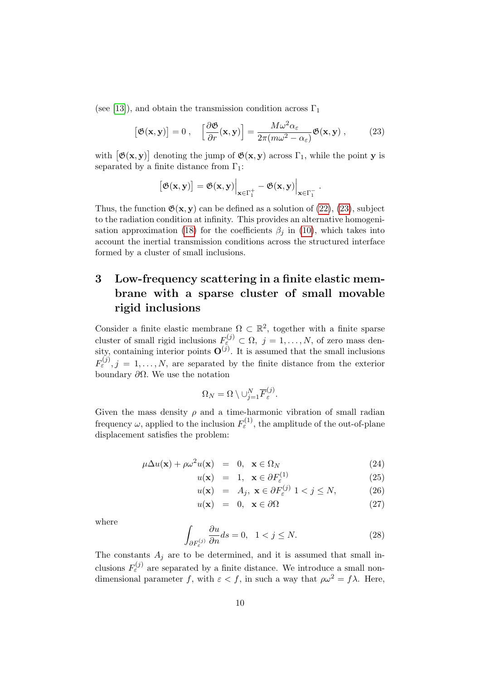(see [\[13\]](#page-18-9)), and obtain the transmission condition across  $\Gamma_1$ 

<span id="page-9-1"></span>
$$
\left[\mathfrak{G}(\mathbf{x}, \mathbf{y})\right] = 0 \;, \quad \left[\frac{\partial \mathfrak{G}}{\partial r}(\mathbf{x}, \mathbf{y})\right] = \frac{M\omega^2 \alpha_{\varepsilon}}{2\pi (m\omega^2 - \alpha_{\varepsilon})} \mathfrak{G}(\mathbf{x}, \mathbf{y}) \;, \tag{23}
$$

with  $[\mathfrak{G}(x,y)]$  denoting the jump of  $\mathfrak{G}(x,y)$  across  $\Gamma_1$ , while the point y is separated by a finite distance from  $\Gamma_1$ :

$$
[\mathfrak{G}(\mathbf{x}, \mathbf{y})] = \mathfrak{G}(\mathbf{x}, \mathbf{y})\Big|_{\mathbf{x} \in \Gamma_1^+} - \mathfrak{G}(\mathbf{x}, \mathbf{y})\Big|_{\mathbf{x} \in \Gamma_1^-}.
$$

Thus, the function  $\mathfrak{G}(x, y)$  can be defined as a solution of [\(22\)](#page-8-3), [\(23\)](#page-9-1), subject to the radiation condition at infinity. This provides an alternative homogeni-sation approximation [\(18\)](#page-8-4) for the coefficients  $\beta_i$  in [\(10\)](#page-5-0), which takes into account the inertial transmission conditions across the structured interface formed by a cluster of small inclusions.

# <span id="page-9-0"></span>3 Low-frequency scattering in a finite elastic membrane with a sparse cluster of small movable rigid inclusions

Consider a finite elastic membrane  $\Omega \subset \mathbb{R}^2$ , together with a finite sparse cluster of small rigid inclusions  $F_{\varepsilon}^{(j)} \subset \Omega, j = 1, \ldots, N$ , of zero mass density, containing interior points  $\mathbf{O}^{(j)}$ . It is assumed that the small inclusions  $F_{\varepsilon}^{(j)}, j = 1, \ldots, N$ , are separated by the finite distance from the exterior boundary  $\partial Ω$ . We use the notation

$$
\Omega_N = \Omega \setminus \cup_{j=1}^N \overline{F}^{(j)}_{\varepsilon}.
$$

Given the mass density  $\rho$  and a time-harmonic vibration of small radian frequency  $\omega$ , applied to the inclusion  $F_{\varepsilon}^{(1)}$ , the amplitude of the out-of-plane displacement satisfies the problem:

<span id="page-9-2"></span>
$$
\mu \Delta u(\mathbf{x}) + \rho \omega^2 u(\mathbf{x}) = 0, \ \mathbf{x} \in \Omega_N \tag{24}
$$

$$
u(\mathbf{x}) = 1, \ \mathbf{x} \in \partial F_{\varepsilon}^{(1)} \tag{25}
$$

$$
u(\mathbf{x}) = A_j, \ \mathbf{x} \in \partial F_{\varepsilon}^{(j)} \ 1 < j \le N,\tag{26}
$$

$$
u(\mathbf{x}) = 0, \ \mathbf{x} \in \partial \Omega \tag{27}
$$

where

$$
\int_{\partial F_{\varepsilon}^{(j)}} \frac{\partial u}{\partial n} ds = 0, \quad 1 < j \le N. \tag{28}
$$

The constants  $A_i$  are to be determined, and it is assumed that small inclusions  $F_{\varepsilon}^{(j)}$  are separated by a finite distance. We introduce a small nondimensional parameter f, with  $\varepsilon < f$ , in such a way that  $\rho \omega^2 = f \lambda$ . Here,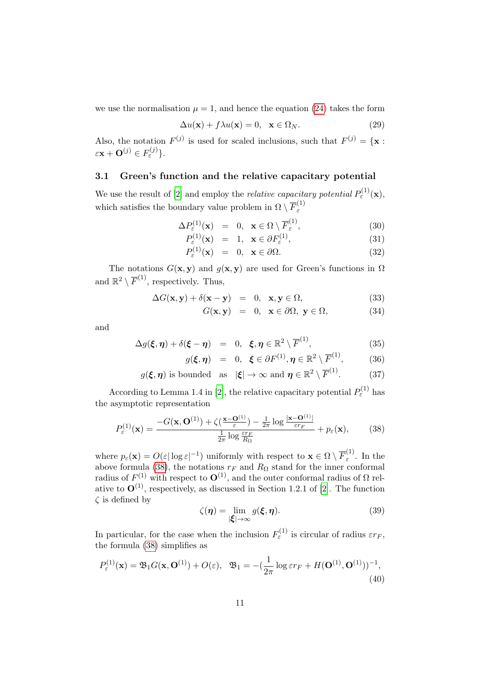we use the normalisation  $\mu = 1$ , and hence the equation [\(24\)](#page-9-2) takes the form

$$
\Delta u(\mathbf{x}) + f\lambda u(\mathbf{x}) = 0, \quad \mathbf{x} \in \Omega_N.
$$
 (29)

Also, the notation  $F^{(j)}$  is used for scaled inclusions, such that  $F^{(j)} = {\mathbf{x}}$ :  $\varepsilon \mathbf{x} + \mathbf{O}^{(j)} \in F_{\varepsilon}^{(j)}$  }.

# 3.1 Green's function and the relative capacitary potential

We use the result of [\[2\]](#page-17-1) and employ the *relative capacitary potential*  $P_{\varepsilon}^{(1)}(\mathbf{x})$ , which satisfies the boundary value problem in  $\Omega \setminus \overline{F}_{\varepsilon}^{(1)}$ ε

$$
\Delta P_{\varepsilon}^{(1)}(\mathbf{x}) = 0, \ \ \mathbf{x} \in \Omega \setminus \overline{F}_{\varepsilon}^{(1)}, \tag{30}
$$

$$
P_{\varepsilon}^{(1)}(\mathbf{x}) = 1, \ \mathbf{x} \in \partial F_{\varepsilon}^{(1)}, \tag{31}
$$

$$
P_{\varepsilon}^{(1)}(\mathbf{x}) = 0, \ \mathbf{x} \in \partial \Omega.
$$
 (32)

The notations  $G(\mathbf{x}, \mathbf{y})$  and  $g(\mathbf{x}, \mathbf{y})$  are used for Green's functions in  $\Omega$ and  $\mathbb{R}^2 \setminus \overline{F}^{(1)}$ , respectively. Thus,

$$
\Delta G(\mathbf{x}, \mathbf{y}) + \delta(\mathbf{x} - \mathbf{y}) = 0, \ \mathbf{x}, \mathbf{y} \in \Omega,
$$
\n(33)

$$
G(\mathbf{x}, \mathbf{y}) = 0, \ \mathbf{x} \in \partial \Omega, \ \mathbf{y} \in \Omega,\tag{34}
$$

and

$$
\Delta g(\boldsymbol{\xi}, \boldsymbol{\eta}) + \delta(\boldsymbol{\xi} - \boldsymbol{\eta}) = 0, \ \boldsymbol{\xi}, \boldsymbol{\eta} \in \mathbb{R}^2 \setminus \overline{F}^{(1)}, \tag{35}
$$

$$
g(\boldsymbol{\xi}, \boldsymbol{\eta}) = 0, \ \ \boldsymbol{\xi} \in \partial F^{(1)}, \boldsymbol{\eta} \in \mathbb{R}^2 \setminus \overline{F}^{(1)}, \tag{36}
$$

$$
g(\xi, \eta)
$$
 is bounded as  $|\xi| \to \infty$  and  $\eta \in \mathbb{R}^2 \setminus \overline{F}^{(1)}$ . (37)

According to Lemma 1.4 in [\[2\]](#page-17-1), the relative capacitary potential  $P_{\varepsilon}^{(1)}$  has the asymptotic representation

<span id="page-10-0"></span>
$$
P_{\varepsilon}^{(1)}(\mathbf{x}) = \frac{-G(\mathbf{x}, \mathbf{O}^{(1)}) + \zeta(\frac{\mathbf{x} - \mathbf{O}^{(1)}}{\varepsilon}) - \frac{1}{2\pi} \log \frac{|\mathbf{x} - \mathbf{O}^{(1)}|}{\varepsilon r_F}}{\frac{1}{2\pi} \log \frac{\varepsilon r_F}{R_{\Omega}}} + p_{\varepsilon}(\mathbf{x}),\tag{38}
$$

where  $p_{\varepsilon}(\mathbf{x}) = O(\varepsilon |\log \varepsilon|^{-1})$  uniformly with respect to  $\mathbf{x} \in \Omega \setminus \overline{F}_{\varepsilon}^{(1)}$  $\int_{\varepsilon}^{1}$ . In the above formula [\(38\)](#page-10-0), the notations  $r_F$  and  $R_\Omega$  stand for the inner conformal radius of  $F^{(1)}$  with respect to  $\mathbf{O}^{(1)}$ , and the outer conformal radius of  $\Omega$  relative to  $\mathbf{O}^{(1)}$ , respectively, as discussed in Section 1.2.1 of [\[2\]](#page-17-1). The function  $\zeta$  is defined by

$$
\zeta(\eta) = \lim_{|\xi| \to \infty} g(\xi, \eta). \tag{39}
$$

In particular, for the case when the inclusion  $F_{\varepsilon}^{(1)}$  is circular of radius  $\varepsilon r_F$ , the formula [\(38\)](#page-10-0) simplifies as

<span id="page-10-1"></span>
$$
P_{\varepsilon}^{(1)}(\mathbf{x}) = \mathfrak{B}_1 G(\mathbf{x}, \mathbf{O}^{(1)}) + O(\varepsilon), \quad \mathfrak{B}_1 = -(\frac{1}{2\pi} \log \varepsilon r_F + H(\mathbf{O}^{(1)}, \mathbf{O}^{(1)}))^{-1},
$$
\n(40)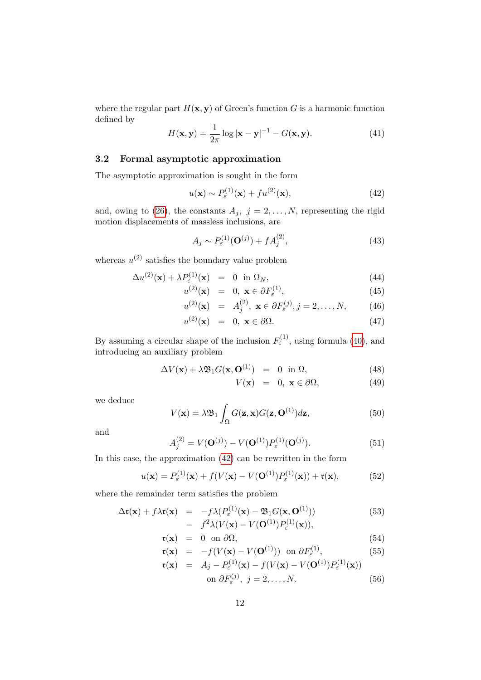where the regular part  $H(\mathbf{x}, \mathbf{y})$  of Green's function G is a harmonic function defined by

$$
H(\mathbf{x}, \mathbf{y}) = \frac{1}{2\pi} \log |\mathbf{x} - \mathbf{y}|^{-1} - G(\mathbf{x}, \mathbf{y}).
$$
 (41)

### 3.2 Formal asymptotic approximation

The asymptotic approximation is sought in the form

<span id="page-11-0"></span>
$$
u(\mathbf{x}) \sim P_{\varepsilon}^{(1)}(\mathbf{x}) + f u^{(2)}(\mathbf{x}),\tag{42}
$$

and, owing to [\(26\)](#page-9-2), the constants  $A_j$ ,  $j = 2, ..., N$ , representing the rigid motion displacements of massless inclusions, are

<span id="page-11-1"></span>
$$
A_j \sim P_{\varepsilon}^{(1)}(\mathbf{O}^{(j)}) + f A_j^{(2)},\tag{43}
$$

whereas  $u^{(2)}$  satisfies the boundary value problem

$$
\Delta u^{(2)}(\mathbf{x}) + \lambda P_{\varepsilon}^{(1)}(\mathbf{x}) = 0 \text{ in } \Omega_N,
$$
\n(44)

$$
u^{(2)}(\mathbf{x}) = 0, \ \mathbf{x} \in \partial F_{\varepsilon}^{(1)}, \tag{45}
$$

$$
u^{(2)}(\mathbf{x}) = A_j^{(2)}, \mathbf{x} \in \partial F_{\varepsilon}^{(j)}, j = 2, ..., N,
$$
 (46)

$$
u^{(2)}(\mathbf{x}) = 0, \mathbf{x} \in \partial \Omega.
$$
 (47)

By assuming a circular shape of the inclusion  $F_{\varepsilon}^{(1)}$ , using formula [\(40\)](#page-10-1), and introducing an auxiliary problem

$$
\Delta V(\mathbf{x}) + \lambda \mathfrak{B}_1 G(\mathbf{x}, \mathbf{O}^{(1)}) = 0 \text{ in } \Omega,
$$
 (48)

$$
V(\mathbf{x}) = 0, \ \mathbf{x} \in \partial\Omega,\tag{49}
$$

we deduce

$$
V(\mathbf{x}) = \lambda \mathfrak{B}_1 \int_{\Omega} G(\mathbf{z}, \mathbf{x}) G(\mathbf{z}, \mathbf{O}^{(1)}) d\mathbf{z},\tag{50}
$$

and

<span id="page-11-2"></span>
$$
A_j^{(2)} = V(\mathbf{O}^{(j)}) - V(\mathbf{O}^{(1)})P_{\varepsilon}^{(1)}(\mathbf{O}^{(j)}).
$$
 (51)

In this case, the approximation [\(42\)](#page-11-0) can be rewritten in the form

<span id="page-11-3"></span>
$$
u(\mathbf{x}) = P_{\varepsilon}^{(1)}(\mathbf{x}) + f(V(\mathbf{x}) - V(\mathbf{O}^{(1)})P_{\varepsilon}^{(1)}(\mathbf{x})) + \mathfrak{r}(\mathbf{x}),
$$
(52)

where the remainder term satisfies the problem

<span id="page-11-4"></span>
$$
\Delta \mathbf{r}(\mathbf{x}) + f \lambda \mathbf{r}(\mathbf{x}) = -f \lambda (P_{\varepsilon}^{(1)}(\mathbf{x}) - \mathfrak{B}_1 G(\mathbf{x}, \mathbf{O}^{(1)})) \n- f^2 \lambda (V(\mathbf{x}) - V(\mathbf{O}^{(1)}) P_{\varepsilon}^{(1)}(\mathbf{x})),
$$
\n(53)

$$
\mathfrak{r}(\mathbf{x}) = 0 \text{ on } \partial \Omega, \tag{54}
$$

$$
\mathbf{r}(\mathbf{x}) = -f(V(\mathbf{x}) - V(\mathbf{O}^{(1)})) \text{ on } \partial F_{\varepsilon}^{(1)}, \tag{55}
$$

$$
\mathfrak{r}(\mathbf{x}) = A_j - P_{\varepsilon}^{(1)}(\mathbf{x}) - f(V(\mathbf{x}) - V(\mathbf{O}^{(1)})P_{\varepsilon}^{(1)}(\mathbf{x}))
$$
  
on  $\partial F_{\varepsilon}^{(j)}, j = 2, ..., N.$  (56)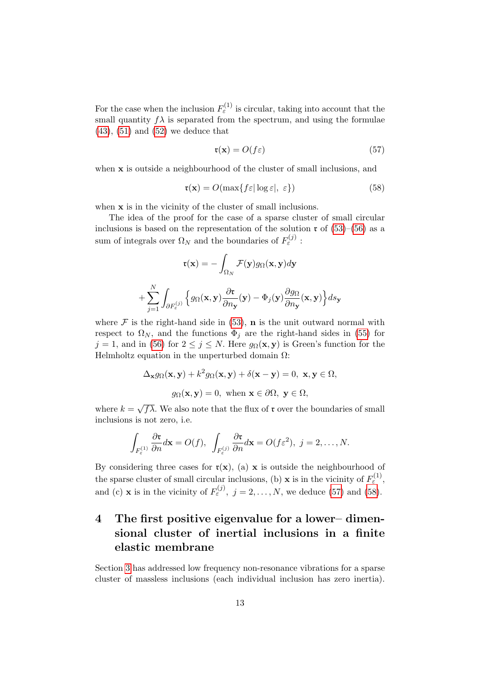For the case when the inclusion  $F_{\varepsilon}^{(1)}$  is circular, taking into account that the small quantity  $f\lambda$  is separated from the spectrum, and using the formulae  $(43)$ ,  $(51)$  and  $(52)$  we deduce that

<span id="page-12-1"></span>
$$
\mathfrak{r}(\mathbf{x}) = O(f\varepsilon) \tag{57}
$$

when **x** is outside a neighbourhood of the cluster of small inclusions, and

<span id="page-12-2"></span>
$$
\mathbf{r}(\mathbf{x}) = O(\max\{f\varepsilon |\log \varepsilon|, \varepsilon\})\tag{58}
$$

when **x** is in the vicinity of the cluster of small inclusions.

The idea of the proof for the case of a sparse cluster of small circular inclusions is based on the representation of the solution  $\mathfrak{r}$  of [\(53\)](#page-11-4)–[\(56\)](#page-11-4) as a sum of integrals over  $\Omega_N$  and the boundaries of  $F^{(j)}_{\varepsilon}$ :

$$
\mathfrak{r}(\mathbf{x}) = -\int_{\Omega_N} \mathcal{F}(\mathbf{y}) g_{\Omega}(\mathbf{x}, \mathbf{y}) d\mathbf{y}
$$

$$
+ \sum_{j=1}^N \int_{\partial F_{\varepsilon}^{(j)}} \Big\{ g_{\Omega}(\mathbf{x}, \mathbf{y}) \frac{\partial \mathfrak{r}}{\partial n_{\mathbf{y}}}(\mathbf{y}) - \Phi_j(\mathbf{y}) \frac{\partial g_{\Omega}}{\partial n_{\mathbf{y}}}(\mathbf{x}, \mathbf{y}) \Big\} ds_{\mathbf{y}}
$$

where  $\mathcal F$  is the right-hand side in [\(53\)](#page-11-4), **n** is the unit outward normal with respect to  $\Omega_N$ , and the functions  $\Phi_i$  are the right-hand sides in [\(55\)](#page-11-4) for  $j = 1$ , and in [\(56\)](#page-11-4) for  $2 \le j \le N$ . Here  $g_{\Omega}(\mathbf{x}, \mathbf{y})$  is Green's function for the Helmholtz equation in the unperturbed domain  $\Omega$ :

$$
\Delta_{\mathbf{x}} g_{\Omega}(\mathbf{x}, \mathbf{y}) + k^2 g_{\Omega}(\mathbf{x}, \mathbf{y}) + \delta(\mathbf{x} - \mathbf{y}) = 0, \ \mathbf{x}, \mathbf{y} \in \Omega,
$$

$$
g_{\Omega}(\mathbf{x}, \mathbf{y}) = 0, \text{ when } \mathbf{x} \in \partial\Omega, \ \mathbf{y} \in \Omega,
$$

where  $k =$  $\overline{f\lambda}$ . We also note that the flux of **r** over the boundaries of small inclusions is not zero, i.e.

$$
\int_{F_{\varepsilon}^{(1)}} \frac{\partial \mathbf{r}}{\partial n} d\mathbf{x} = O(f), \ \ \int_{F_{\varepsilon}^{(j)}} \frac{\partial \mathbf{r}}{\partial n} d\mathbf{x} = O(f \varepsilon^2), \ j = 2, \ldots, N.
$$

By considering three cases for  $\mathfrak{r}(\mathbf{x})$ , (a) x is outside the neighbourhood of the sparse cluster of small circular inclusions, (b) **x** is in the vicinity of  $F_{\varepsilon}^{(1)}$ , and (c) **x** is in the vicinity of  $F_{\varepsilon}^{(j)}$ ,  $j = 2, ..., N$ , we deduce [\(57\)](#page-12-1) and [\(58\)](#page-12-2).

# <span id="page-12-0"></span>4 The first positive eigenvalue for a lower– dimensional cluster of inertial inclusions in a finite elastic membrane

Section [3](#page-9-0) has addressed low frequency non-resonance vibrations for a sparse cluster of massless inclusions (each individual inclusion has zero inertia).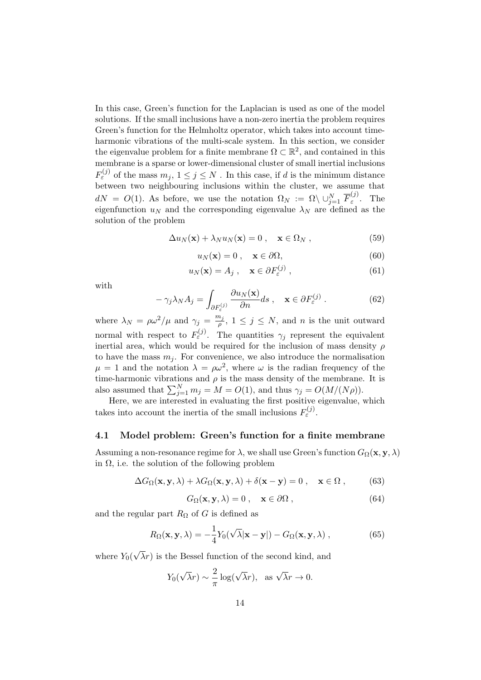In this case, Green's function for the Laplacian is used as one of the model solutions. If the small inclusions have a non-zero inertia the problem requires Green's function for the Helmholtz operator, which takes into account timeharmonic vibrations of the multi-scale system. In this section, we consider the eigenvalue problem for a finite membrane  $\Omega \subset \mathbb{R}^2$ , and contained in this membrane is a sparse or lower-dimensional cluster of small inertial inclusions  $F_{\varepsilon}^{(j)}$  of the mass  $m_j, 1 \le j \le N$ . In this case, if d is the minimum distance between two neighbouring inclusions within the cluster, we assume that  $dN = O(1)$ . As before, we use the notation  $\Omega_N := \Omega \setminus \cup_{j=1}^N \overline{F}_{\varepsilon}^{(j)}$  $\int_{\varepsilon}^{\mathcal{F}}$ . The eigenfunction  $u_N$  and the corresponding eigenvalue  $\lambda_N$  are defined as the solution of the problem

<span id="page-13-0"></span>
$$
\Delta u_N(\mathbf{x}) + \lambda_N u_N(\mathbf{x}) = 0 , \quad \mathbf{x} \in \Omega_N ,
$$
 (59)

<span id="page-13-2"></span>
$$
u_N(\mathbf{x}) = 0 \,, \quad \mathbf{x} \in \partial \Omega,\tag{60}
$$

<span id="page-13-3"></span>
$$
u_N(\mathbf{x}) = A_j , \quad \mathbf{x} \in \partial F_{\varepsilon}^{(j)} , \tag{61}
$$

with

<span id="page-13-1"></span>
$$
-\gamma_j \lambda_N A_j = \int_{\partial F^{(j)}_{\varepsilon}} \frac{\partial u_N(\mathbf{x})}{\partial n} ds \,, \quad \mathbf{x} \in \partial F^{(j)}_{\varepsilon} . \tag{62}
$$

where  $\lambda_N = \rho \omega^2 / \mu$  and  $\gamma_j = \frac{m_j}{\rho}$  $\frac{n_j}{\rho}$ ,  $1 \leq j \leq N$ , and *n* is the unit outward normal with respect to  $F_{\varepsilon}^{(j)}$ . The quantities  $\gamma_j$  represent the equivalent inertial area, which would be required for the inclusion of mass density  $\rho$ to have the mass  $m_i$ . For convenience, we also introduce the normalisation  $\mu = 1$  and the notation  $\lambda = \rho \omega^2$ , where  $\omega$  is the radian frequency of the time-harmonic vibrations and  $\rho$  is the mass density of the membrane. It is also assumed that  $\sum_{j=1}^{N} m_j = M = O(1)$ , and thus  $\gamma_j = O(M/(N\rho))$ .

Here, we are interested in evaluating the first positive eigenvalue, which takes into account the inertia of the small inclusions  $F_{\varepsilon}^{(j)}$ .

### 4.1 Model problem: Green's function for a finite membrane

Assuming a non-resonance regime for  $\lambda$ , we shall use Green's function  $G_{\Omega}(\mathbf{x}, \mathbf{y}, \lambda)$ in  $\Omega$ , i.e. the solution of the following problem

$$
\Delta G_{\Omega}(\mathbf{x}, \mathbf{y}, \lambda) + \lambda G_{\Omega}(\mathbf{x}, \mathbf{y}, \lambda) + \delta(\mathbf{x} - \mathbf{y}) = 0 , \quad \mathbf{x} \in \Omega ,
$$
 (63)

$$
G_{\Omega}(\mathbf{x}, \mathbf{y}, \lambda) = 0 , \quad \mathbf{x} \in \partial \Omega , \qquad (64)
$$

and the regular part  $R_{\Omega}$  of G is defined as

<span id="page-13-4"></span>
$$
R_{\Omega}(\mathbf{x}, \mathbf{y}, \lambda) = -\frac{1}{4} Y_0(\sqrt{\lambda} |\mathbf{x} - \mathbf{y}|) - G_{\Omega}(\mathbf{x}, \mathbf{y}, \lambda) ,
$$
 (65)

where  $Y_0($ √  $\lambda r$ ) is the Bessel function of the second kind, and

$$
Y_0(\sqrt{\lambda}r) \sim \frac{2}{\pi} \log(\sqrt{\lambda}r)
$$
, as  $\sqrt{\lambda}r \to 0$ .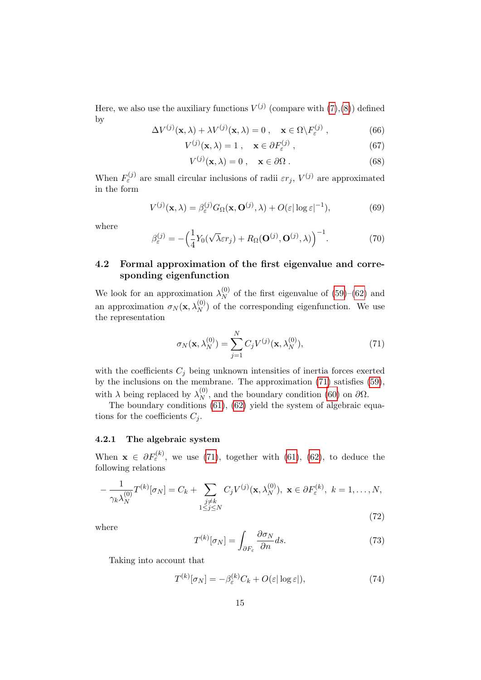Here, we also use the auxiliary functions  $V^{(j)}$  (compare with  $(7),(8)$  $(7),(8)$ ) defined by

$$
\Delta V^{(j)}(\mathbf{x}, \lambda) + \lambda V^{(j)}(\mathbf{x}, \lambda) = 0 , \quad \mathbf{x} \in \Omega \backslash F_{\varepsilon}^{(j)} , \qquad (66)
$$

$$
V^{(j)}(\mathbf{x}, \lambda) = 1 \,, \quad \mathbf{x} \in \partial F_{\varepsilon}^{(j)} \,, \tag{67}
$$

$$
V^{(j)}(\mathbf{x}, \lambda) = 0 \,, \quad \mathbf{x} \in \partial \Omega \,. \tag{68}
$$

When  $F_{\varepsilon}^{(j)}$  are small circular inclusions of radii  $\varepsilon r_j$ ,  $V^{(j)}$  are approximated in the form

<span id="page-14-1"></span>
$$
V^{(j)}(\mathbf{x}, \lambda) = \beta_{\varepsilon}^{(j)} G_{\Omega}(\mathbf{x}, \mathbf{O}^{(j)}, \lambda) + O(\varepsilon |\log \varepsilon|^{-1}),
$$
(69)

where

<span id="page-14-2"></span>
$$
\beta_{\varepsilon}^{(j)} = -\Big(\frac{1}{4}Y_0(\sqrt{\lambda}\varepsilon r_j) + R_{\Omega}(\mathbf{O}^{(j)}, \mathbf{O}^{(j)}, \lambda)\Big)^{-1}.
$$
 (70)

### 4.2 Formal approximation of the first eigenvalue and corresponding eigenfunction

We look for an approximation  $\lambda_N^{(0)}$  $N \nvert N$  of the first eigenvalue of [\(59\)](#page-13-0)–[\(62\)](#page-13-1) and an approximation  $\sigma_N(\mathbf{x}, \lambda_N^{(0)})$  of the corresponding eigenfunction. We use the representation

<span id="page-14-0"></span>
$$
\sigma_N(\mathbf{x}, \lambda_N^{(0)}) = \sum_{j=1}^N C_j V^{(j)}(\mathbf{x}, \lambda_N^{(0)}), \tag{71}
$$

with the coefficients  $C_j$  being unknown intensities of inertia forces exerted by the inclusions on the membrane. The approximation [\(71\)](#page-14-0) satisfies [\(59\)](#page-13-0), with  $\lambda$  being replaced by  $\lambda_N^{(0)}$  $_{N}^{(0)}$ , and the boundary condition [\(60\)](#page-13-2) on  $\partial\Omega$ .

The boundary conditions [\(61\)](#page-13-3), [\(62\)](#page-13-1) yield the system of algebraic equations for the coefficients  $C_i$ .

### 4.2.1 The algebraic system

When  $\mathbf{x} \in \partial F_{\varepsilon}^{(k)}$ , we use [\(71\)](#page-14-0), together with [\(61\)](#page-13-3), [\(62\)](#page-13-1), to deduce the following relations

$$
-\frac{1}{\gamma_k \lambda_N^{(0)}} T^{(k)}[\sigma_N] = C_k + \sum_{\substack{j \neq k \\ 1 \le j \le N}} C_j V^{(j)}(\mathbf{x}, \lambda_N^{(0)}), \ \mathbf{x} \in \partial F_{\varepsilon}^{(k)}, \ k = 1, \dots, N,
$$
\n(72)

where

$$
T^{(k)}[\sigma_N] = \int_{\partial F_{\varepsilon}} \frac{\partial \sigma_N}{\partial n} ds.
$$
 (73)

Taking into account that

$$
T^{(k)}[\sigma_N] = -\beta_{\varepsilon}^{(k)} C_k + O(\varepsilon |\log \varepsilon|),\tag{74}
$$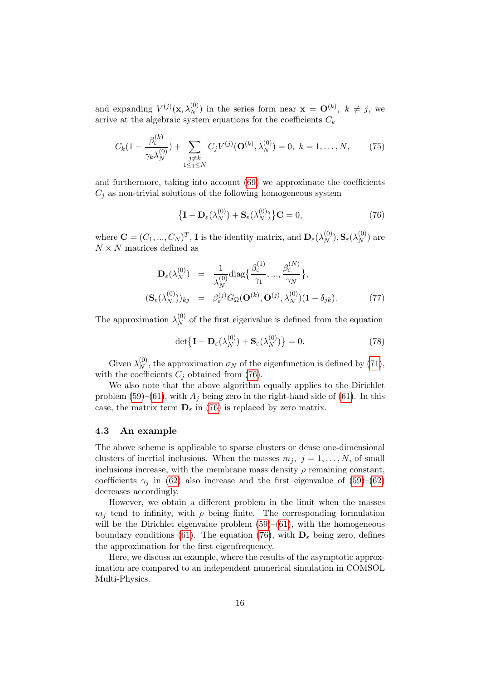and expanding  $V^{(j)}(\mathbf{x}, \lambda_N^{(0)})$  in the series form near  $\mathbf{x} = \mathbf{O}^{(k)}$ ,  $k \neq j$ , we arrive at the algebraic system equations for the coefficients  $C_k$ 

$$
C_k(1 - \frac{\beta_{\varepsilon}^{(k)}}{\gamma_k \lambda_N^{(0)}}) + \sum_{\substack{j \neq k \\ 1 \le j \le N}} C_j V^{(j)}(\mathbf{O}^{(k)}, \lambda_N^{(0)}) = 0, \ k = 1, \dots, N, \tag{75}
$$

and furthermore, taking into account [\(69\)](#page-14-1) we approximate the coefficients  $C_i$  as non-trivial solutions of the following homogeneous system

<span id="page-15-0"></span>
$$
\left\{ \mathbf{I} - \mathbf{D}_{\varepsilon}(\lambda_N^{(0)}) + \mathbf{S}_{\varepsilon}(\lambda_N^{(0)}) \right\} \mathbf{C} = 0, \tag{76}
$$

where  $\mathbf{C} = (C_1, ..., C_N)^T$ , **I** is the identity matrix, and  $\mathbf{D}_{\varepsilon}(\lambda_N^{(0)})$  $(\stackrel{(0)}{N}), \mathbf{S}_\varepsilon(\lambda_N^{(0)})$  $\binom{0}{N}$  are  $N \times N$  matrices defined as

$$
\mathbf{D}_{\varepsilon}(\lambda_N^{(0)}) = \frac{1}{\lambda_N^{(0)}} \text{diag}\left\{\frac{\beta_{\varepsilon}^{(1)}}{\gamma_1}, \dots, \frac{\beta_{\varepsilon}^{(N)}}{\gamma_N}\right\},\
$$

$$
(\mathbf{S}_{\varepsilon}(\lambda_N^{(0)}))_{kj} = \beta_{\varepsilon}^{(j)} G_{\Omega}(\mathbf{O}^{(k)}, \mathbf{O}^{(j)}, \lambda_N^{(0)})(1 - \delta_{jk}).\tag{77}
$$

The approximation  $\lambda_N^{(0)}$  $_{N}^{(0)}$  of the first eigenvalue is defined from the equation

$$
\det\left\{\mathbf{I} - \mathbf{D}_{\varepsilon}(\lambda_N^{(0)}) + \mathbf{S}_{\varepsilon}(\lambda_N^{(0)})\right\} = 0.
$$
 (78)

Given  $\lambda_N^{(0)}$  $_{N}^{(0)}$ , the approximation  $\sigma_{N}$  of the eigenfunction is defined by [\(71\)](#page-14-0), with the coefficients  $C_j$  obtained from [\(76\)](#page-15-0).

We also note that the above algorithm equally applies to the Dirichlet problem [\(59\)](#page-13-0)–[\(61\)](#page-13-3), with  $A_i$  being zero in the right-hand side of [\(61\)](#page-13-3). In this case, the matrix term  $\mathbf{D}_{\varepsilon}$  in [\(76\)](#page-15-0) is replaced by zero matrix.

#### 4.3 An example

The above scheme is applicable to sparse clusters or dense one-dimensional clusters of inertial inclusions. When the masses  $m_j$ ,  $j = 1, \ldots, N$ , of small inclusions increase, with the membrane mass density  $\rho$  remaining constant, coefficients  $\gamma_i$  in [\(62\)](#page-13-1) also increase and the first eigenvalue of [\(59\)](#page-13-0)–[\(62\)](#page-13-1) decreases accordingly.

However, we obtain a different problem in the limit when the masses  $m_i$  tend to infinity, with  $\rho$  being finite. The corresponding formulation will be the Dirichlet eigenvalue problem  $(59)$ – $(61)$ , with the homogeneous boundary conditions [\(61\)](#page-13-3). The equation [\(76\)](#page-15-0), with  $\mathbf{D}_{\varepsilon}$  being zero, defines the approximation for the first eigenfrequency.

Here, we discuss an example, where the results of the asymptotic approximation are compared to an independent numerical simulation in COMSOL Multi-Physics.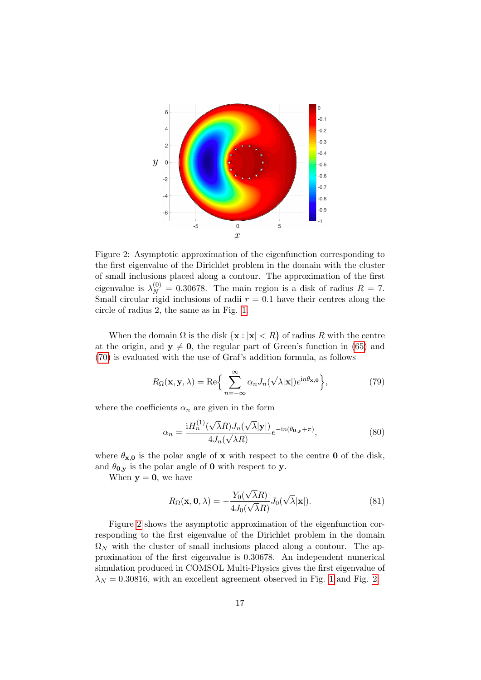

<span id="page-16-0"></span>Figure 2: Asymptotic approximation of the eigenfunction corresponding to the first eigenvalue of the Dirichlet problem in the domain with the cluster of small inclusions placed along a contour. The approximation of the first eigenvalue is  $\lambda_N^{(0)} = 0.30678$ . The main region is a disk of radius  $R = 7$ . Small circular rigid inclusions of radii  $r = 0.1$  have their centres along the circle of radius 2, the same as in Fig. [1.](#page-2-0)

When the domain  $\Omega$  is the disk  $\{x : |x| < R\}$  of radius R with the centre at the origin, and  $y \neq 0$ , the regular part of Green's function in [\(65\)](#page-13-4) and [\(70\)](#page-14-2) is evaluated with the use of Graf's addition formula, as follows

$$
R_{\Omega}(\mathbf{x}, \mathbf{y}, \lambda) = \text{Re}\Big\{\sum_{n=-\infty}^{\infty} \alpha_n J_n(\sqrt{\lambda}|\mathbf{x}|) e^{\mathrm{i}n\theta_{\mathbf{x},\mathbf{0}}}\Big\},\tag{79}
$$

where the coefficients  $\alpha_n$  are given in the form

$$
\alpha_n = \frac{\mathrm{i}H_n^{(1)}(\sqrt{\lambda}R)J_n(\sqrt{\lambda}|\mathbf{y}|)}{4J_n(\sqrt{\lambda}R)}e^{-\mathrm{i}n(\theta_{0,\mathbf{y}}+\pi)},\tag{80}
$$

where  $\theta_{\mathbf{x},0}$  is the polar angle of x with respect to the centre 0 of the disk, and  $\theta_{0,y}$  is the polar angle of 0 with respect to y.

When  $y = 0$ , we have

$$
R_{\Omega}(\mathbf{x}, \mathbf{0}, \lambda) = -\frac{Y_0(\sqrt{\lambda}R)}{4J_0(\sqrt{\lambda}R)} J_0(\sqrt{\lambda}|\mathbf{x}|). \tag{81}
$$

Figure [2](#page-16-0) shows the asymptotic approximation of the eigenfunction corresponding to the first eigenvalue of the Dirichlet problem in the domain  $\Omega_N$  with the cluster of small inclusions placed along a contour. The approximation of the first eigenvalue is 0.30678. An independent numerical simulation produced in COMSOL Multi-Physics gives the first eigenvalue of  $\lambda_N = 0.30816$ , with an excellent agreement observed in Fig. [1](#page-2-0) and Fig. [2.](#page-16-0)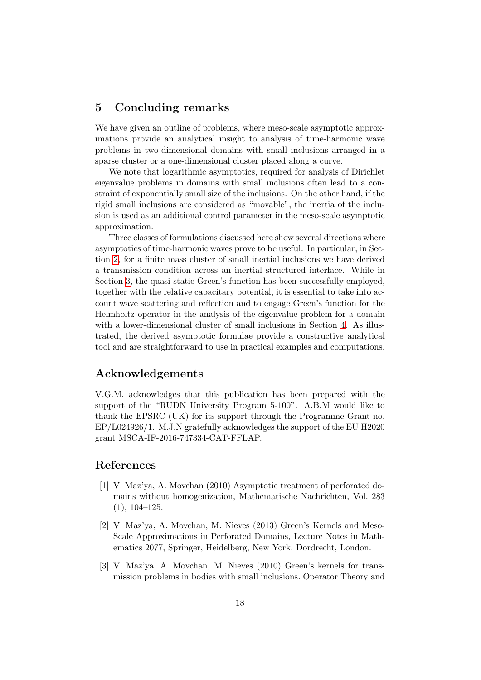### 5 Concluding remarks

We have given an outline of problems, where meso-scale asymptotic approximations provide an analytical insight to analysis of time-harmonic wave problems in two-dimensional domains with small inclusions arranged in a sparse cluster or a one-dimensional cluster placed along a curve.

We note that logarithmic asymptotics, required for analysis of Dirichlet eigenvalue problems in domains with small inclusions often lead to a constraint of exponentially small size of the inclusions. On the other hand, if the rigid small inclusions are considered as "movable", the inertia of the inclusion is used as an additional control parameter in the meso-scale asymptotic approximation.

Three classes of formulations discussed here show several directions where asymptotics of time-harmonic waves prove to be useful. In particular, in Section [2,](#page-3-0) for a finite mass cluster of small inertial inclusions we have derived a transmission condition across an inertial structured interface. While in Section [3,](#page-9-0) the quasi-static Green's function has been successfully employed, together with the relative capacitary potential, it is essential to take into account wave scattering and reflection and to engage Green's function for the Helmholtz operator in the analysis of the eigenvalue problem for a domain with a lower-dimensional cluster of small inclusions in Section [4.](#page-12-0) As illustrated, the derived asymptotic formulae provide a constructive analytical tool and are straightforward to use in practical examples and computations.

## Acknowledgements

V.G.M. acknowledges that this publication has been prepared with the support of the "RUDN University Program 5-100". A.B.M would like to thank the EPSRC (UK) for its support through the Programme Grant no. EP/L024926/1. M.J.N gratefully acknowledges the support of the EU H2020 grant MSCA-IF-2016-747334-CAT-FFLAP.

### References

- <span id="page-17-0"></span>[1] V. Maz'ya, A. Movchan (2010) Asymptotic treatment of perforated domains without homogenization, Mathematische Nachrichten, Vol. 283 (1), 104–125.
- <span id="page-17-1"></span>[2] V. Maz'ya, A. Movchan, M. Nieves (2013) Green's Kernels and Meso-Scale Approximations in Perforated Domains, Lecture Notes in Mathematics 2077, Springer, Heidelberg, New York, Dordrecht, London.
- [3] V. Maz'ya, A. Movchan, M. Nieves (2010) Green's kernels for transmission problems in bodies with small inclusions. Operator Theory and